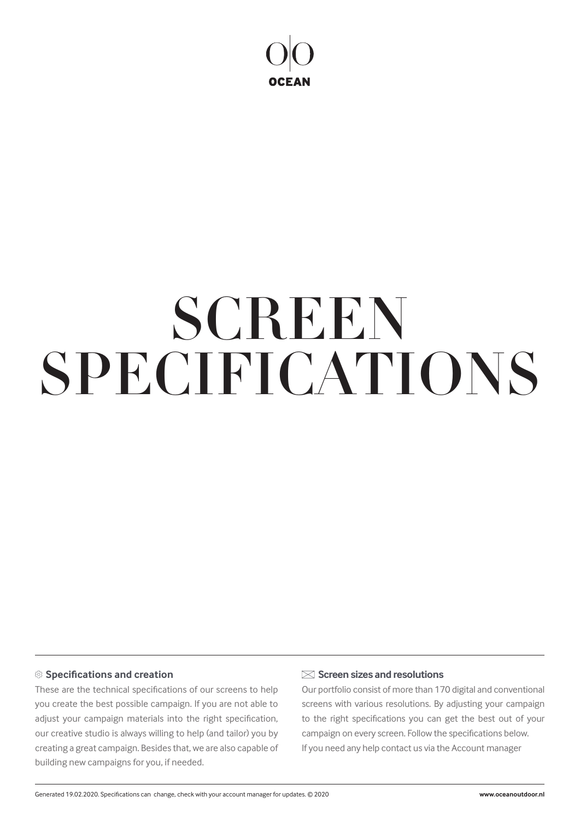

# SPECIFICATIONS **SCREEN**

## **Specifications and creation**

These are the technical specifications of our screens to help you create the best possible campaign. If you are not able to adjust your campaign materials into the right specification, our creative studio is always willing to help (and tailor) you by creating a great campaign. Besides that, we are also capable of building new campaigns for you, if needed.

### **Screen sizes and resolutions**

Our portfolio consist of more than 170 digital and conventional screens with various resolutions. By adjusting your campaign to the right specifications you can get the best out of your campaign on every screen. Follow the specifications below. If you need any help contact us via the Account manager